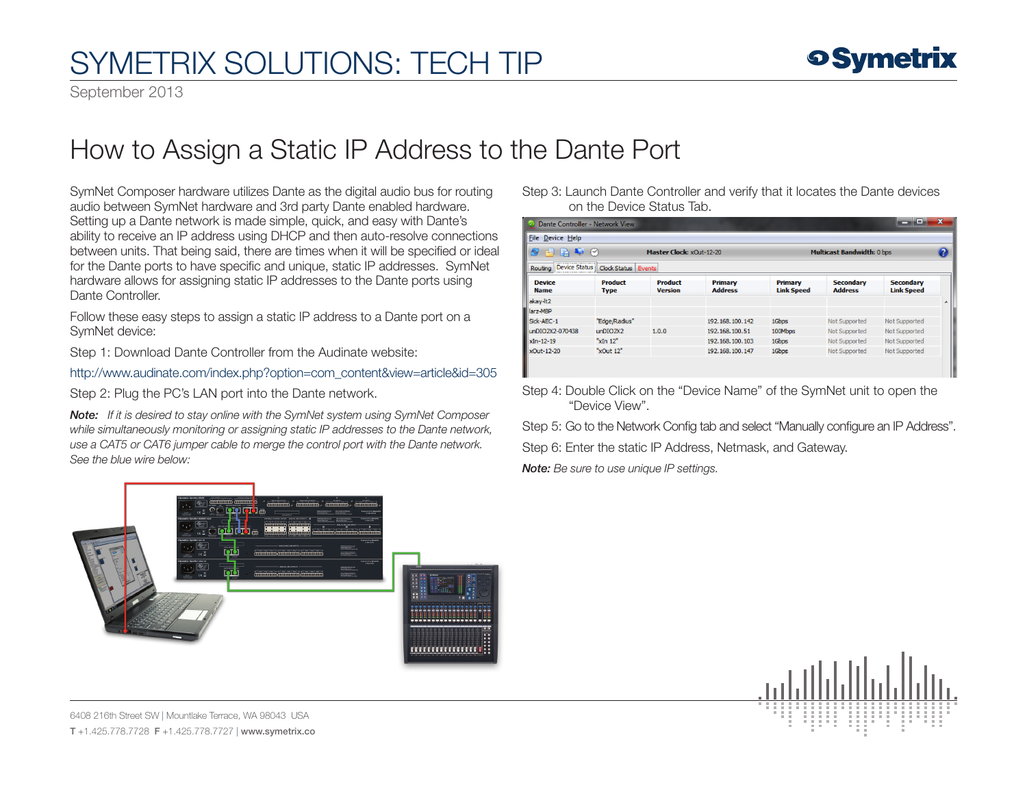## SYMETRIX SOLUTIONS: TECH TIP

September 2013

## How to Assign a Static IP Address to the Dante Port

SymNet Composer hardware utilizes Dante as the digital audio bus for routing audio between SymNet hardware and 3rd party Dante enabled hardware. Setting up a Dante network is made simple, quick, and easy with Dante's ability to receive an IP address using DHCP and then auto-resolve connections between units. That being said, there are times when it will be specified or ideal for the Dante ports to have specific and unique, static IP addresses. SymNet hardware allows for assigning static IP addresses to the Dante ports using Dante Controller.

Follow these easy steps to assign a static IP address to a Dante port on a SymNet device:

Step 1: Download Dante Controller from the Audinate website:

http:/[/www.audinate.com/index.php?option=com\\_content&view=article&id=305](http://www.audinate.com/index.php%3Foption%3Dcom_content%26view%3Darticle%26id%3D305%20)

Step 2: Plug the PC's LAN port into the Dante network.

*Note: If it is desired to stay online with the SymNet system using SymNet Composer while simultaneously monitoring or assigning static IP addresses to the Dante network, use a CAT5 or CAT6 jumper cable to merge the control port with the Dante network. See the blue wire below:*

| Dante Controller - Network View                  |                               |                                  |                           |                                   |                                    | ▣                                     | $\mathbf x$ |
|--------------------------------------------------|-------------------------------|----------------------------------|---------------------------|-----------------------------------|------------------------------------|---------------------------------------|-------------|
| <b>File Device Help</b>                          |                               |                                  |                           |                                   |                                    |                                       |             |
| $\blacksquare$<br>Master Clock: xOut-12-20<br>49 |                               |                                  |                           | <b>Multicast Bandwidth: 0 bps</b> |                                    |                                       | Q           |
| Routing Device Status                            | Clock Status Events           |                                  |                           |                                   |                                    |                                       |             |
| <b>Device</b><br><b>Name</b>                     | <b>Product</b><br><b>Type</b> | <b>Product</b><br><b>Version</b> | Primary<br><b>Address</b> | Primary<br><b>Link Speed</b>      | <b>Secondary</b><br><b>Address</b> | <b>Secondary</b><br><b>Link Speed</b> |             |
| akay-It2                                         |                               |                                  |                           |                                   |                                    |                                       |             |
| larz-MBP                                         |                               |                                  |                           |                                   |                                    |                                       |             |
| Sick-AEC-1                                       | "Edge/Radius"                 |                                  | 192.168.100.142           | 1Gbps                             | Not Supported                      | Not Supported                         |             |
| unDIO2X2-070438                                  | unDIO2X2                      | 1.0.0                            | 192.168.100.51            | 100Mbps                           | Not Supported                      | Not Supported                         |             |
| xIn-12-19                                        | xIn 12"                       |                                  | 192, 168, 100, 103        | 1Gbps                             | Not Supported                      | Not Supported                         |             |
| xOut-12-20                                       | "xOut 12"                     |                                  | 192.168.100.147           | 1Gbps                             | Not Supported                      | Not Supported                         |             |
|                                                  |                               |                                  |                           |                                   |                                    |                                       |             |

Step 3: Launch Dante Controller and verify that it locates the Dante devices

Step 4: Double Click on the "Device Name" of the SymNet unit to open the "Device View".

Step 5: Go to the Network Config tab and select "Manually configure an IP Address".

Step 6: Enter the static IP Address, Netmask, and Gateway.

*Note: Be sure to use unique IP settings.*

on the Device Status Tab.





6408 216th Street SW | Mountlake Terrace, WA 98043 USA T +1.425.778.7728 F +1.425.778.7727 | www.symetrix.co